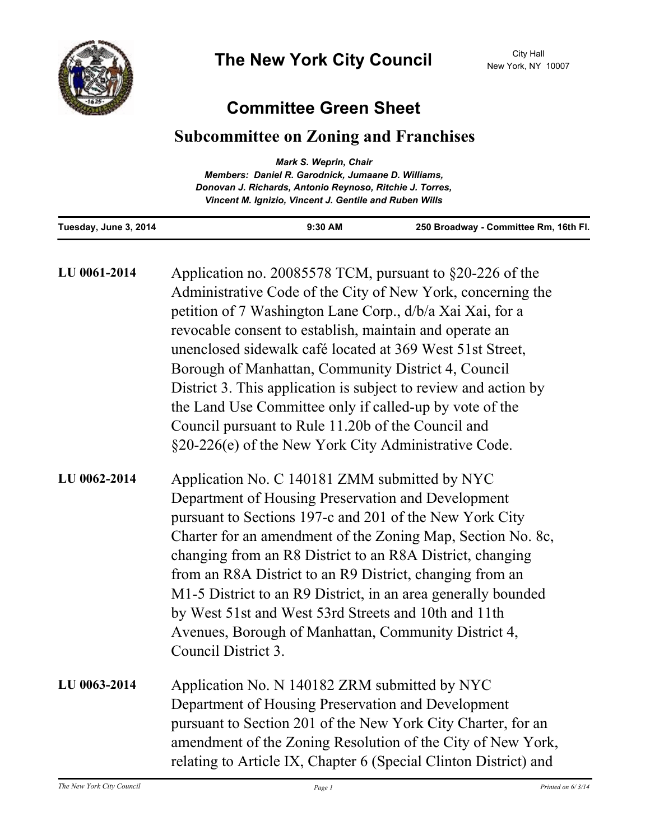

## **Committee Green Sheet**

## **Subcommittee on Zoning and Franchises**

| <b>Mark S. Weprin, Chair</b>                             |  |
|----------------------------------------------------------|--|
| Members: Daniel R. Garodnick, Jumaane D. Williams,       |  |
| Donovan J. Richards, Antonio Reynoso, Ritchie J. Torres, |  |
| Vincent M. Ignizio, Vincent J. Gentile and Ruben Wills   |  |
|                                                          |  |

**Tuesday, June 3, 2014 9:30 AM 250 Broadway - Committee Rm, 16th Fl.**

| LU 0061-2014 | Application no. 20085578 TCM, pursuant to $\S20-226$ of the<br>Administrative Code of the City of New York, concerning the<br>petition of 7 Washington Lane Corp., d/b/a Xai Xai, for a<br>revocable consent to establish, maintain and operate an<br>unenclosed sidewalk café located at 369 West 51st Street,<br>Borough of Manhattan, Community District 4, Council<br>District 3. This application is subject to review and action by<br>the Land Use Committee only if called-up by vote of the<br>Council pursuant to Rule 11.20b of the Council and<br>§20-226(e) of the New York City Administrative Code. |
|--------------|--------------------------------------------------------------------------------------------------------------------------------------------------------------------------------------------------------------------------------------------------------------------------------------------------------------------------------------------------------------------------------------------------------------------------------------------------------------------------------------------------------------------------------------------------------------------------------------------------------------------|
| LU 0062-2014 | Application No. C 140181 ZMM submitted by NYC<br>Department of Housing Preservation and Development<br>pursuant to Sections 197-c and 201 of the New York City<br>Charter for an amendment of the Zoning Map, Section No. 8c,<br>changing from an R8 District to an R8A District, changing<br>from an R8A District to an R9 District, changing from an<br>M1-5 District to an R9 District, in an area generally bounded<br>by West 51st and West 53rd Streets and 10th and 11th<br>Avenues, Borough of Manhattan, Community District 4,<br>Council District 3.                                                     |
| LU 0063-2014 | Application No. N 140182 ZRM submitted by NYC                                                                                                                                                                                                                                                                                                                                                                                                                                                                                                                                                                      |

Department of Housing Preservation and Development pursuant to Section 201 of the New York City Charter, for an amendment of the Zoning Resolution of the City of New York, relating to Article IX, Chapter 6 (Special Clinton District) and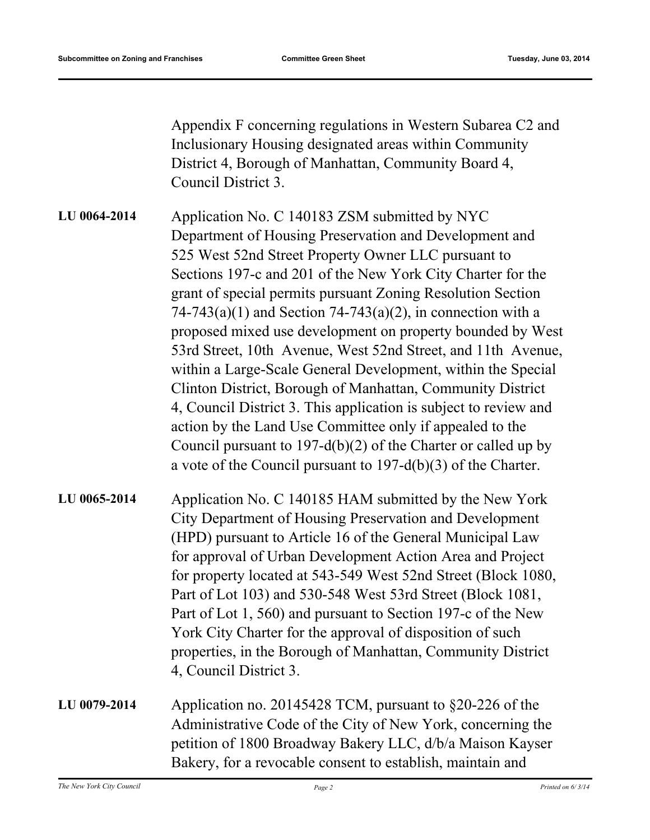Appendix F concerning regulations in Western Subarea C2 and Inclusionary Housing designated areas within Community District 4, Borough of Manhattan, Community Board 4, Council District 3.

Application No. C 140183 ZSM submitted by NYC Department of Housing Preservation and Development and 525 West 52nd Street Property Owner LLC pursuant to Sections 197-c and 201 of the New York City Charter for the grant of special permits pursuant Zoning Resolution Section  $74-743(a)(1)$  and Section  $74-743(a)(2)$ , in connection with a proposed mixed use development on property bounded by West 53rd Street, 10th Avenue, West 52nd Street, and 11th Avenue, within a Large-Scale General Development, within the Special Clinton District, Borough of Manhattan, Community District 4, Council District 3. This application is subject to review and action by the Land Use Committee only if appealed to the Council pursuant to 197-d(b)(2) of the Charter or called up by a vote of the Council pursuant to 197-d(b)(3) of the Charter. **LU 0064-2014**

Application No. C 140185 HAM submitted by the New York City Department of Housing Preservation and Development (HPD) pursuant to Article 16 of the General Municipal Law for approval of Urban Development Action Area and Project for property located at 543-549 West 52nd Street (Block 1080, Part of Lot 103) and 530-548 West 53rd Street (Block 1081, Part of Lot 1, 560) and pursuant to Section 197-c of the New York City Charter for the approval of disposition of such properties, in the Borough of Manhattan, Community District 4, Council District 3. **LU 0065-2014**

Application no. 20145428 TCM, pursuant to §20-226 of the Administrative Code of the City of New York, concerning the petition of 1800 Broadway Bakery LLC, d/b/a Maison Kayser Bakery, for a revocable consent to establish, maintain and **LU 0079-2014**